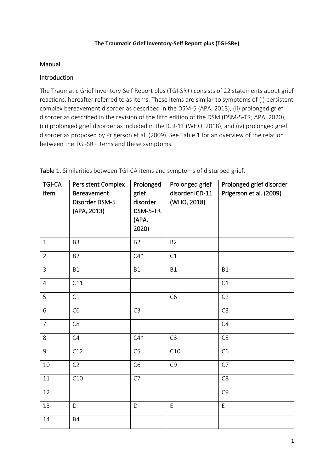#### **The Traumatic Grief Inventory-Self Report plus (TGI-SR+)**

### Manual

## Introduction

The Traumatic Grief Inventory-Self Report plus (TGI-SR+) consists of 22 statements about grief reactions, hereafter referred to as items. These items are similar to symptoms of (i) persistent complex bereavement disorder as described in the DSM-5 (APA, 2013), (ii) prolonged grief disorder as described in the revision of the fifth edition of the DSM (DSM-5-TR; APA, 2020), (iii) prolonged grief disorder as included in the ICD-11 (WHO, 2018), and (iv) prolonged grief disorder as proposed by Prigerson et al. (2009). See Table 1 for an overview of the relation between the TGI-SR+ items and these symptoms.

| <b>TGI-CA</b><br>item | Persistent Complex<br>Bereavement<br>Disorder DSM-5<br>(APA, 2013) | Prolonged<br>grief<br>disorder<br>DSM-5-TR<br>(APA,<br>2020) | Prolonged grief<br>disorder ICD-11<br>(WHO, 2018) | Prolonged grief disorder<br>Prigerson et al. (2009) |
|-----------------------|--------------------------------------------------------------------|--------------------------------------------------------------|---------------------------------------------------|-----------------------------------------------------|
| $\mathbf{1}$          | B <sub>3</sub>                                                     | <b>B2</b>                                                    | <b>B2</b>                                         |                                                     |
| $\overline{2}$        | B <sub>2</sub>                                                     | $C4*$                                                        | C1                                                |                                                     |
| $\overline{3}$        | <b>B1</b>                                                          | <b>B1</b>                                                    | <b>B1</b>                                         | <b>B1</b>                                           |
| $\overline{4}$        | C11                                                                |                                                              |                                                   | C1                                                  |
| 5                     | C1                                                                 |                                                              | C <sub>6</sub>                                    | C2                                                  |
| 6                     | C <sub>6</sub>                                                     | C <sub>3</sub>                                               |                                                   | C <sub>3</sub>                                      |
| $\overline{7}$        | C <sub>8</sub>                                                     |                                                              |                                                   | C4                                                  |
| 8                     | C4                                                                 | $C4*$                                                        | C <sub>3</sub>                                    | C <sub>5</sub>                                      |
| 9                     | C12                                                                | C <sub>5</sub>                                               | C10                                               | C <sub>6</sub>                                      |
| 10                    | C <sub>2</sub>                                                     | C <sub>6</sub>                                               | C <sub>9</sub>                                    | C7                                                  |
| 11                    | C10                                                                | C7                                                           |                                                   | C <sub>8</sub>                                      |
| 12                    |                                                                    |                                                              |                                                   | C <sub>9</sub>                                      |
| 13                    | D                                                                  | D                                                            | E                                                 | $\mathsf E$                                         |
| 14                    | <b>B4</b>                                                          |                                                              |                                                   |                                                     |

Table 1. Similarities between TGI-CA items and symptoms of disturbed grief.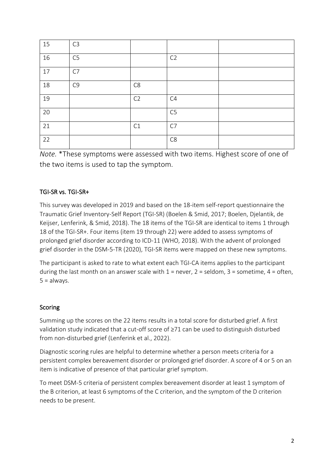| 15 | C <sub>3</sub> |                |                |  |
|----|----------------|----------------|----------------|--|
| 16 | C5             |                | C <sub>2</sub> |  |
| 17 | C7             |                |                |  |
| 18 | C <sub>9</sub> | C8             |                |  |
| 19 |                | C <sub>2</sub> | C4             |  |
| 20 |                |                | C <sub>5</sub> |  |
| 21 |                | C1             | C7             |  |
| 22 |                |                | C <sub>8</sub> |  |

*Note.* \*These symptoms were assessed with two items. Highest score of one of the two items is used to tap the symptom.

# TGI-SR vs. TGI-SR+

This survey was developed in 2019 and based on the 18-item self-report questionnaire the Traumatic Grief Inventory-Self Report (TGI-SR) (Boelen & Smid, 2017; Boelen, Djelantik, de Keijser, Lenferink, & Smid, 2018). The 18 items of the TGI-SR are identical to items 1 through 18 of the TGI-SR+. Four items (item 19 through 22) were added to assess symptoms of prolonged grief disorder according to ICD-11 (WHO, 2018). With the advent of prolonged grief disorder in the DSM-5-TR (2020), TGI-SR items were mapped on these new symptoms.

The participant is asked to rate to what extent each TGI-CA items applies to the participant during the last month on an answer scale with  $1 =$  never,  $2 =$  seldom,  $3 =$  sometime,  $4 =$  often,  $5 =$  always.

# Scoring

Summing up the scores on the 22 items results in a total score for disturbed grief. A first validation study indicated that a cut-off score of ≥71 can be used to distinguish disturbed from non-disturbed grief (Lenferink et al., 2022).

Diagnostic scoring rules are helpful to determine whether a person meets criteria for a persistent complex bereavement disorder or prolonged grief disorder. A score of 4 or 5 on an item is indicative of presence of that particular grief symptom.

To meet DSM-5 criteria of persistent complex bereavement disorder at least 1 symptom of the B criterion, at least 6 symptoms of the C criterion, and the symptom of the D criterion needs to be present.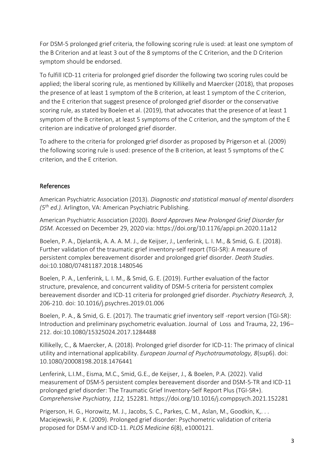For DSM-5 prolonged grief criteria, the following scoring rule is used: at least one symptom of the B Criterion and at least 3 out of the 8 symptoms of the C Criterion, and the D Criterion symptom should be endorsed.

To fulfill ICD-11 criteria for prolonged grief disorder the following two scoring rules could be applied; the liberal scoring rule, as mentioned by Killikelly and Maercker (2018), that proposes the presence of at least 1 symptom of the B criterion, at least 1 symptom of the C criterion, and the E criterion that suggest presence of prolonged grief disorder or the conservative scoring rule, as stated by Boelen et al. (2019), that advocates that the presence of at least 1 symptom of the B criterion, at least 5 symptoms of the C criterion, and the symptom of the E criterion are indicative of prolonged grief disorder.

To adhere to the criteria for prolonged grief disorder as proposed by Prigerson et al. (2009) the following scoring rule is used: presence of the B criterion, at least 5 symptoms of the C criterion, and the E criterion.

### References

American Psychiatric Association (2013). *Diagnostic and statistical manual of mental disorders (5th ed.).* Arlington, VA: American Psychiatric Publishing.

American Psychiatric Association (2020). *Board Approves New Prolonged Grief Disorder for DSM.* Accessed on December 29, 2020 via: https://doi.org/10.1176/appi.pn.2020.11a12

Boelen, P. A., Djelantik, A. A. A. M. J., de Keijser, J., Lenferink, L. I. M., & Smid, G. E. (2018). Further validation of the traumatic grief inventory-self report (TGI-SR): A measure of persistent complex bereavement disorder and prolonged grief disorder. *Death Studies*. doi:10.1080/07481187.2018.1480546

Boelen, P. A., Lenferink, L. I. M., & Smid, G. E. (2019). Further evaluation of the factor structure, prevalence, and concurrent validity of DSM-5 criteria for persistent complex bereavement disorder and ICD-11 criteria for prolonged grief disorder. *Psychiatry Research, 3*, 206-210. doi: 10.1016/j.psychres.2019.01.006

Boelen, P. A., & Smid, G. E. (2017). The traumatic grief inventory self -report version (TGI-SR): Introduction and preliminary psychometric evaluation. Journal of Loss and Trauma, 22, 196– 212. doi:10.1080/15325024.2017.1284488

Killikelly, C., & Maercker, A. (2018). Prolonged grief disorder for ICD-11: The primacy of clinical utility and international applicability. *European Journal of Psychotraumatology, 8*(sup6). doi: 10.1080/20008198.2018.1476441

Lenferink, L.I.M., Eisma, M.C., Smid, G.E., de Keijser, J., & Boelen, P.A. (2022). Valid measurement of DSM-5 persistent complex bereavement disorder and DSM-5-TR and ICD-11 prolonged grief disorder: The Traumatic Grief Inventory-Self Report Plus (TGI-SR+). *Comprehensive Psychiatry, 112,* 152281. https://doi.org/10.1016/j.comppsych.2021.152281

Prigerson, H. G., Horowitz, M. J., Jacobs, S. C., Parkes, C. M., Aslan, M., Goodkin, K,. . . Maciejewski, P. K. (2009). Prolonged grief disorder: Psychometric validation of criteria proposed for DSM-V and ICD-11. *PLOS Medicine 6*(8), e1000121.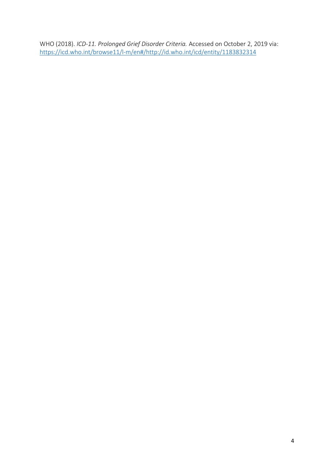WHO (2018). *ICD-11. Prolonged Grief Disorder Criteria.* Accessed on October 2, 2019 via: <https://icd.who.int/browse11/l-m/en#/http://id.who.int/icd/entity/1183832314>